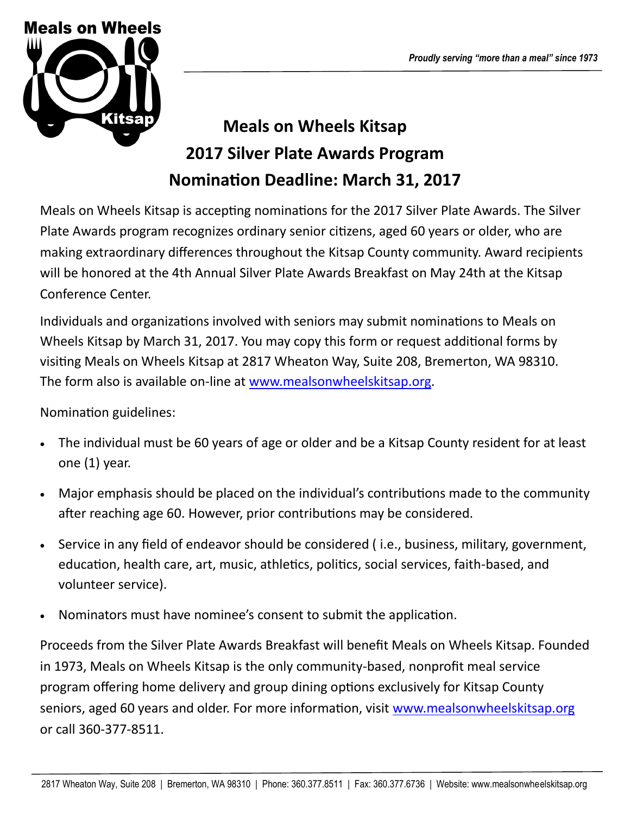

## **Meals on Wheels Kitsap 2017 Silver Plate Awards Program Nomination Deadline: March 31, 2017**

Meals on Wheels Kitsap is accepting nominations for the 2017 Silver Plate Awards. The Silver Plate Awards program recognizes ordinary senior citizens, aged 60 years or older, who are making extraordinary differences throughout the Kitsap County community. Award recipients will be honored at the 4th Annual Silver Plate Awards Breakfast on May 24th at the Kitsap Conference Center.

Individuals and organizations involved with seniors may submit nominations to Meals on Wheels Kitsap by March 31, 2017. You may copy this form or request additional forms by visiting Meals on Wheels Kitsap at 2817 Wheaton Way, Suite 208, Bremerton, WA 98310. The form also is available on-line at [www.mealsonwheelskitsap.org.](http://www.mealsonwheelskitsap.org)

Nomination guidelines:

- The individual must be 60 years of age or older and be a Kitsap County resident for at least one (1) year.
- Major emphasis should be placed on the individual's contributions made to the community after reaching age 60. However, prior contributions may be considered.
- Service in any field of endeavor should be considered ( i.e., business, military, government, education, health care, art, music, athletics, politics, social services, faith-based, and volunteer service).
- Nominators must have nominee's consent to submit the application.

Proceeds from the Silver Plate Awards Breakfast will benefit Meals on Wheels Kitsap. Founded in 1973, Meals on Wheels Kitsap is the only community-based, nonprofit meal service program offering home delivery and group dining options exclusively for Kitsap County seniors, aged 60 years and older. For more information, visit [www.mealsonwheelskitsap.org](http://www.mealsonwheelskitsap.org) or call 360-377-8511.